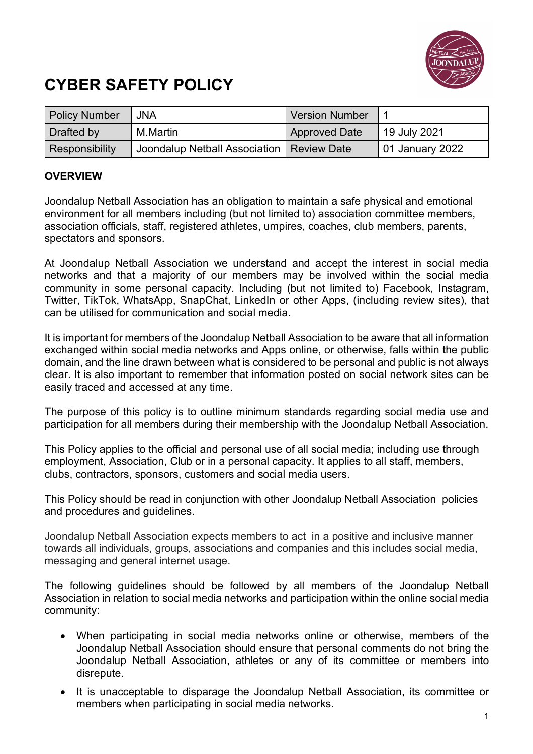

## **CYBER SAFETY POLICY**

| <b>Policy Number</b> | <b>JNA</b>                                  | <b>Version Number</b> |                 |
|----------------------|---------------------------------------------|-----------------------|-----------------|
| Drafted by           | M.Martin                                    | <b>Approved Date</b>  | 19 July 2021    |
| Responsibility       | Joondalup Netball Association   Review Date |                       | 01 January 2022 |

## **OVERVIEW**

Joondalup Netball Association has an obligation to maintain a safe physical and emotional environment for all members including (but not limited to) association committee members, association officials, staff, registered athletes, umpires, coaches, club members, parents, spectators and sponsors.

At Joondalup Netball Association we understand and accept the interest in social media networks and that a majority of our members may be involved within the social media community in some personal capacity. Including (but not limited to) Facebook, Instagram, Twitter, TikTok, WhatsApp, SnapChat, LinkedIn or other Apps, (including review sites), that can be utilised for communication and social media.

It is important for members of the Joondalup Netball Association to be aware that all information exchanged within social media networks and Apps online, or otherwise, falls within the public domain, and the line drawn between what is considered to be personal and public is not always clear. It is also important to remember that information posted on social network sites can be easily traced and accessed at any time.

The purpose of this policy is to outline minimum standards regarding social media use and participation for all members during their membership with the Joondalup Netball Association.

This Policy applies to the official and personal use of all social media; including use through employment, Association, Club or in a personal capacity. It applies to all staff, members, clubs, contractors, sponsors, customers and social media users.

This Policy should be read in conjunction with other Joondalup Netball Association policies and procedures and guidelines.

Joondalup Netball Association expects members to act in a positive and inclusive manner towards all individuals, groups, associations and companies and this includes social media, messaging and general internet usage.

The following guidelines should be followed by all members of the Joondalup Netball Association in relation to social media networks and participation within the online social media community:

- When participating in social media networks online or otherwise, members of the Joondalup Netball Association should ensure that personal comments do not bring the Joondalup Netball Association, athletes or any of its committee or members into disrepute.
- It is unacceptable to disparage the Joondalup Netball Association, its committee or members when participating in social media networks.